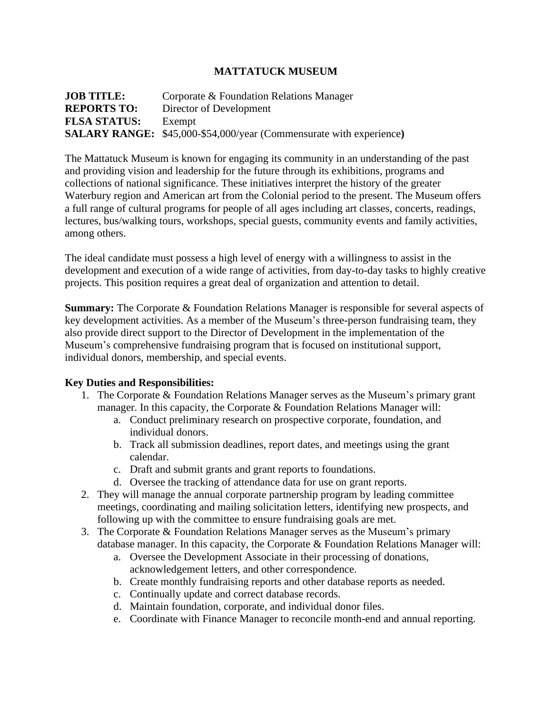## **MATTATUCK MUSEUM**

**JOB TITLE:** Corporate & Foundation Relations Manager **REPORTS TO:** Director of Development **FLSA STATUS:** Exempt **SALARY RANGE:** \$45,000-\$54,000/year (Commensurate with experience**)**

The Mattatuck Museum is known for engaging its community in an understanding of the past and providing vision and leadership for the future through its exhibitions, programs and collections of national significance. These initiatives interpret the history of the greater Waterbury region and American art from the Colonial period to the present. The Museum offers a full range of cultural programs for people of all ages including art classes, concerts, readings, lectures, bus/walking tours, workshops, special guests, community events and family activities, among others.

The ideal candidate must possess a high level of energy with a willingness to assist in the development and execution of a wide range of activities, from day-to-day tasks to highly creative projects. This position requires a great deal of organization and attention to detail.

**Summary:** The Corporate & Foundation Relations Manager is responsible for several aspects of key development activities. As a member of the Museum's three-person fundraising team, they also provide direct support to the Director of Development in the implementation of the Museum's comprehensive fundraising program that is focused on institutional support, individual donors, membership, and special events.

## **Key Duties and Responsibilities:**

- 1. The Corporate & Foundation Relations Manager serves as the Museum's primary grant manager. In this capacity, the Corporate & Foundation Relations Manager will:
	- a. Conduct preliminary research on prospective corporate, foundation, and individual donors.
	- b. Track all submission deadlines, report dates, and meetings using the grant calendar.
	- c. Draft and submit grants and grant reports to foundations.
	- d. Oversee the tracking of attendance data for use on grant reports.
- 2. They will manage the annual corporate partnership program by leading committee meetings, coordinating and mailing solicitation letters, identifying new prospects, and following up with the committee to ensure fundraising goals are met.
- 3. The Corporate & Foundation Relations Manager serves as the Museum's primary database manager. In this capacity, the Corporate & Foundation Relations Manager will:
	- a. Oversee the Development Associate in their processing of donations, acknowledgement letters, and other correspondence.
	- b. Create monthly fundraising reports and other database reports as needed.
	- c. Continually update and correct database records.
	- d. Maintain foundation, corporate, and individual donor files.
	- e. Coordinate with Finance Manager to reconcile month-end and annual reporting.